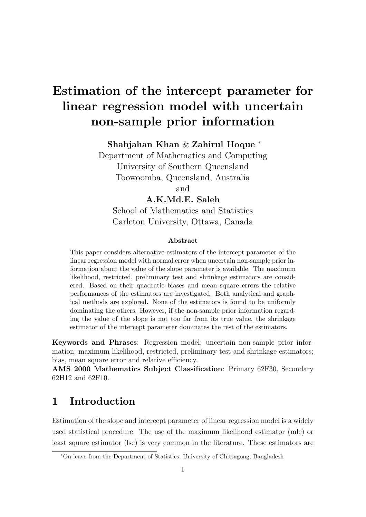# Estimation of the intercept parameter for linear regression model with uncertain non-sample prior information

Shahjahan Khan & Zahirul Hoque <sup>∗</sup>

Department of Mathematics and Computing University of Southern Queensland Toowoomba, Queensland, Australia

and

### A.K.Md.E. Saleh

School of Mathematics and Statistics Carleton University, Ottawa, Canada

#### Abstract

This paper considers alternative estimators of the intercept parameter of the linear regression model with normal error when uncertain non-sample prior information about the value of the slope parameter is available. The maximum likelihood, restricted, preliminary test and shrinkage estimators are considered. Based on their quadratic biases and mean square errors the relative performances of the estimators are investigated. Both analytical and graphical methods are explored. None of the estimators is found to be uniformly dominating the others. However, if the non-sample prior information regarding the value of the slope is not too far from its true value, the shrinkage estimator of the intercept parameter dominates the rest of the estimators.

Keywords and Phrases: Regression model; uncertain non-sample prior information; maximum likelihood, restricted, preliminary test and shrinkage estimators; bias, mean square error and relative efficiency.

AMS 2000 Mathematics Subject Classification: Primary 62F30, Secondary 62H12 and 62F10.

# 1 Introduction

Estimation of the slope and intercept parameter of linear regression model is a widely used statistical procedure. The use of the maximum likelihood estimator (mle) or least square estimator (lse) is very common in the literature. These estimators are

<sup>∗</sup>On leave from the Department of Statistics, University of Chittagong, Bangladesh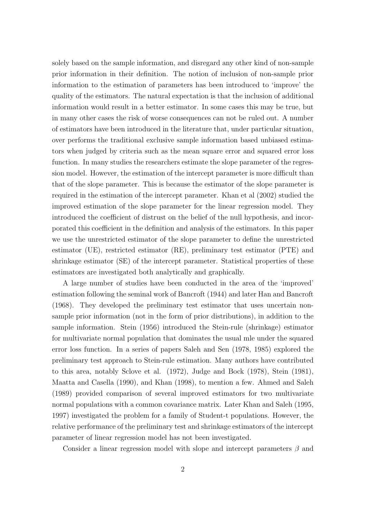solely based on the sample information, and disregard any other kind of non-sample prior information in their definition. The notion of inclusion of non-sample prior information to the estimation of parameters has been introduced to 'improve' the quality of the estimators. The natural expectation is that the inclusion of additional information would result in a better estimator. In some cases this may be true, but in many other cases the risk of worse consequences can not be ruled out. A number of estimators have been introduced in the literature that, under particular situation, over performs the traditional exclusive sample information based unbiased estimators when judged by criteria such as the mean square error and squared error loss function. In many studies the researchers estimate the slope parameter of the regression model. However, the estimation of the intercept parameter is more difficult than that of the slope parameter. This is because the estimator of the slope parameter is required in the estimation of the intercept parameter. Khan et al (2002) studied the improved estimation of the slope parameter for the linear regression model. They introduced the coefficient of distrust on the belief of the null hypothesis, and incorporated this coefficient in the definition and analysis of the estimators. In this paper we use the unrestricted estimator of the slope parameter to define the unrestricted estimator (UE), restricted estimator (RE), preliminary test estimator (PTE) and shrinkage estimator (SE) of the intercept parameter. Statistical properties of these estimators are investigated both analytically and graphically.

A large number of studies have been conducted in the area of the 'improved' estimation following the seminal work of Bancroft (1944) and later Han and Bancroft (1968). They developed the preliminary test estimator that uses uncertain nonsample prior information (not in the form of prior distributions), in addition to the sample information. Stein (1956) introduced the Stein-rule (shrinkage) estimator for multivariate normal population that dominates the usual mle under the squared error loss function. In a series of papers Saleh and Sen (1978, 1985) explored the preliminary test approach to Stein-rule estimation. Many authors have contributed to this area, notably Sclove et al. (1972), Judge and Bock (1978), Stein (1981), Maatta and Casella (1990), and Khan (1998), to mention a few. Ahmed and Saleh (1989) provided comparison of several improved estimators for two multivariate normal populations with a common covariance matrix. Later Khan and Saleh (1995, 1997) investigated the problem for a family of Student-t populations. However, the relative performance of the preliminary test and shrinkage estimators of the intercept parameter of linear regression model has not been investigated.

Consider a linear regression model with slope and intercept parameters  $\beta$  and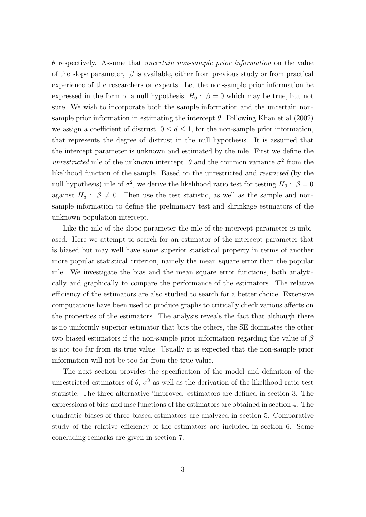$\theta$  respectively. Assume that *uncertain non-sample prior information* on the value of the slope parameter,  $\beta$  is available, either from previous study or from practical experience of the researchers or experts. Let the non-sample prior information be expressed in the form of a null hypothesis,  $H_0: \ \beta = 0$  which may be true, but not sure. We wish to incorporate both the sample information and the uncertain nonsample prior information in estimating the intercept  $\theta$ . Following Khan et al (2002) we assign a coefficient of distrust,  $0 \le d \le 1$ , for the non-sample prior information, that represents the degree of distrust in the null hypothesis. It is assumed that the intercept parameter is unknown and estimated by the mle. First we define the unrestricted mle of the unknown intercept  $\theta$  and the common variance  $\sigma^2$  from the likelihood function of the sample. Based on the unrestricted and restricted (by the null hypothesis) mle of  $\sigma^2$ , we derive the likelihood ratio test for testing  $H_0: \ \beta = 0$ against  $H_a: \beta \neq 0$ . Then use the test statistic, as well as the sample and nonsample information to define the preliminary test and shrinkage estimators of the unknown population intercept.

Like the mle of the slope parameter the mle of the intercept parameter is unbiased. Here we attempt to search for an estimator of the intercept parameter that is biased but may well have some superior statistical property in terms of another more popular statistical criterion, namely the mean square error than the popular mle. We investigate the bias and the mean square error functions, both analytically and graphically to compare the performance of the estimators. The relative efficiency of the estimators are also studied to search for a better choice. Extensive computations have been used to produce graphs to critically check various affects on the properties of the estimators. The analysis reveals the fact that although there is no uniformly superior estimator that bits the others, the SE dominates the other two biased estimators if the non-sample prior information regarding the value of  $\beta$ is not too far from its true value. Usually it is expected that the non-sample prior information will not be too far from the true value.

The next section provides the specification of the model and definition of the unrestricted estimators of  $\theta$ ,  $\sigma^2$  as well as the derivation of the likelihood ratio test statistic. The three alternative 'improved' estimators are defined in section 3. The expressions of bias and mse functions of the estimators are obtained in section 4. The quadratic biases of three biased estimators are analyzed in section 5. Comparative study of the relative efficiency of the estimators are included in section 6. Some concluding remarks are given in section 7.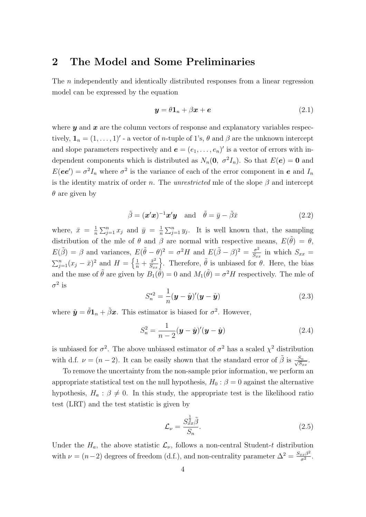### 2 The Model and Some Preliminaries

The n independently and identically distributed responses from a linear regression model can be expressed by the equation

$$
\mathbf{y} = \theta \mathbf{1}_n + \beta \mathbf{x} + \mathbf{e} \tag{2.1}
$$

where  $y$  and  $x$  are the column vectors of response and explanatory variables respectively,  $\mathbf{1}_n = (1, \ldots, 1)'$  - a vector of *n*-tuple of 1's,  $\theta$  and  $\beta$  are the unknown intercept and slope parameters respectively and  $\mathbf{e} = (e_1, \ldots, e_n)'$  is a vector of errors with independent components which is distributed as  $N_n(\mathbf{0}, \sigma^2 I_n)$ . So that  $E(\mathbf{e}) = \mathbf{0}$  and  $E(ee') = \sigma^2 I_n$  where  $\sigma^2$  is the variance of each of the error component in e and  $I_n$ is the identity matrix of order n. The unrestricted mle of the slope  $\beta$  and intercept  $\theta$  are given by

$$
\tilde{\beta} = (\mathbf{x}'\mathbf{x})^{-1}\mathbf{x}'\mathbf{y} \quad \text{and} \quad \tilde{\theta} = \bar{y} - \tilde{\beta}\bar{x} \tag{2.2}
$$

where,  $\bar{x} = \frac{1}{n}$ n  $\sum_{j=1}^n x_j$  and  $\bar{y} = \frac{1}{n}$ n  $\sum_{j=1}^n y_j$ . It is well known that, the sampling distribution of the mle of  $\theta$  and  $\beta$  are normal with respective means,  $E(\tilde{\theta}) = \theta$ ,  $E(\tilde{\beta}) = \beta$  and variances,  $E(\tilde{\theta} - \theta)^2 = \sigma^2 H$  and  $E(\tilde{\beta} - \beta)^2 = \frac{\sigma^2}{S}$  $E(\theta - \theta)^2 = \sigma^2 H$  and  $E(\beta - \beta)^2 = \frac{\sigma^2}{S_{xx}}$  in which  $S_{xx}$  $\sum_{j=1}^{n} (x_j - \bar{x})^2$  and  $H = \left\{\frac{1}{n} + \frac{\bar{x}^2}{S_{xx}}\right\}$ . Therefore,  $\tilde{\theta}$  is unbiased for  $\theta$ . Here, the bias and the mse of  $\tilde{\theta}$  are given by  $B_1(\tilde{\theta}) = 0$  and  $M_1(\tilde{\theta}) = \sigma^2 H$  respectively. The mle of  $\sigma^2$  is

$$
S_n^{*2} = \frac{1}{n} (\mathbf{y} - \hat{\mathbf{y}})'(\mathbf{y} - \hat{\mathbf{y}})
$$
 (2.3)

where  $\hat{\mathbf{y}} = \tilde{\theta} \mathbf{1}_n + \tilde{\beta} \mathbf{x}$ . This estimator is biased for  $\sigma^2$ . However,

$$
S_n^2 = \frac{1}{n-2} (\boldsymbol{y} - \hat{\boldsymbol{y}})' (\boldsymbol{y} - \hat{\boldsymbol{y}})
$$
 (2.4)

is unbiased for  $\sigma^2$ . The above unbiased estimator of  $\sigma^2$  has a scaled  $\chi^2$  distribution with d.f.  $\nu = (n-2)$ . It can be easily shown that the standard error of  $\tilde{\beta}$  is  $\frac{S_n}{\sqrt{S}}$  $\frac{S_n}{S_{xx}}.$ 

To remove the uncertainty from the non-sample prior information, we perform an appropriate statistical test on the null hypothesis,  $H_0$  :  $\beta = 0$  against the alternative hypothesis,  $H_a: \beta \neq 0$ . In this study, the appropriate test is the likelihood ratio test (LRT) and the test statistic is given by

$$
\mathcal{L}_{\nu} = \frac{S_{xx}^{\frac{1}{2}}\tilde{\beta}}{S_n}.
$$
\n(2.5)

Under the  $H_a$ , the above statistic  $\mathcal{L}_{\nu}$ , follows a non-central Student-t distribution with  $\nu = (n-2)$  degrees of freedom (d.f.), and non-centrality parameter  $\Delta^2 = \frac{S_{xx}\beta^2}{\sigma^2}$  $\frac{\int \sigma^2}{\sigma^2}$ .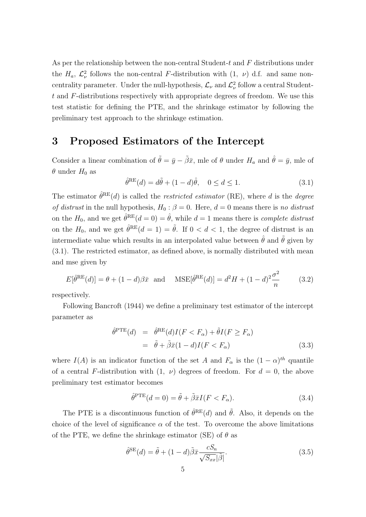As per the relationship between the non-central Student- $t$  and  $F$  distributions under the  $H_a$ ,  $\mathcal{L}^2_{\nu}$  follows the non-central F-distribution with  $(1, \nu)$  d.f. and same noncentrality parameter. Under the null-hypothesis,  $\mathcal{L}_{\nu}$  and  $\mathcal{L}_{\nu}^2$  follow a central Studentt and F-distributions respectively with appropriate degrees of freedom. We use this test statistic for defining the PTE, and the shrinkage estimator by following the preliminary test approach to the shrinkage estimation.

### 3 Proposed Estimators of the Intercept

Consider a linear combination of  $\tilde{\theta} = \bar{y} - \tilde{\beta}\bar{x}$ , mle of  $\theta$  under  $H_a$  and  $\hat{\theta} = \bar{y}$ , mle of  $\theta$  under  $H_0$  as

$$
\hat{\theta}^{RE}(d) = d\tilde{\theta} + (1 - d)\hat{\theta}, \quad 0 \le d \le 1.
$$
\n(3.1)

The estimator  $\hat{\theta}^{RE}(d)$  is called the *restricted estimator* (RE), where d is the *degree* of distrust in the null hypothesis,  $H_0: \beta = 0$ . Here,  $d = 0$  means there is no distrust on the  $H_0$ , and we get  $\hat{\theta}^{\text{RE}}(d=0) = \hat{\theta}$ , while  $d=1$  means there is *complete distrust* on the  $H_0$ , and we get  $\hat{\theta}^{RE}(d=1) = \tilde{\theta}$ . If  $0 < d < 1$ , the degree of distrust is an intermediate value which results in an interpolated value between  $\hat{\theta}$  and  $\tilde{\theta}$  given by (3.1). The restricted estimator, as defined above, is normally distributed with mean and mse given by

$$
E[\hat{\theta}^{RE}(d)] = \theta + (1 - d)\beta \bar{x} \quad \text{and} \quad \text{MSE}[\hat{\theta}^{RE}(d)] = d^2 H + (1 - d)^2 \frac{\sigma^2}{n} \tag{3.2}
$$

respectively.

Following Bancroft (1944) we define a preliminary test estimator of the intercept parameter as

$$
\hat{\theta}^{\text{PTE}}(d) = \hat{\theta}^{\text{RE}}(d)I(F < F_{\alpha}) + \tilde{\theta}I(F \geq F_{\alpha})
$$
\n
$$
= \tilde{\theta} + \tilde{\beta}\bar{x}(1 - d)I(F < F_{\alpha}) \tag{3.3}
$$

where  $I(A)$  is an indicator function of the set A and  $F_{\alpha}$  is the  $(1 - \alpha)^{th}$  quantile of a central F-distribution with  $(1, \nu)$  degrees of freedom. For  $d = 0$ , the above preliminary test estimator becomes

$$
\hat{\theta}^{\text{PTE}}(d=0) = \tilde{\theta} + \tilde{\beta}\bar{x}I(F < F_{\alpha}).\tag{3.4}
$$

The PTE is a discontinuous function of  $\hat{\theta}^{RE}(d)$  and  $\tilde{\theta}$ . Also, it depends on the choice of the level of significance  $\alpha$  of the test. To overcome the above limitations of the PTE, we define the shrinkage estimator (SE) of  $\theta$  as

$$
\hat{\theta}^{\text{SE}}(d) = \tilde{\theta} + (1 - d)\tilde{\beta}\bar{x}\frac{cS_n}{\sqrt{S_{xx}}|\tilde{\beta}|}.
$$
\n(3.5)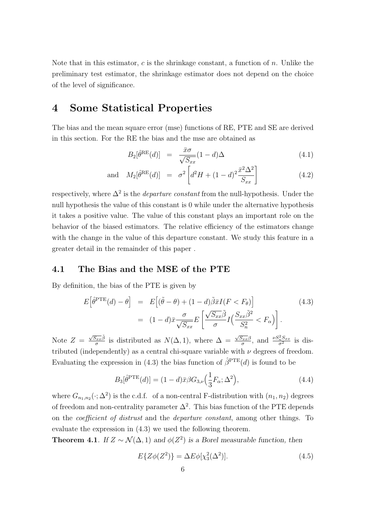Note that in this estimator,  $c$  is the shrinkage constant, a function of  $n$ . Unlike the preliminary test estimator, the shrinkage estimator does not depend on the choice of the level of significance.

### 4 Some Statistical Properties

The bias and the mean square error (mse) functions of RE, PTE and SE are derived in this section. For the RE the bias and the mse are obtained as

$$
B_2[\hat{\theta}^{RE}(d)] = \frac{\bar{x}\sigma}{\sqrt{S_{xx}}} (1-d)\Delta \qquad (4.1)
$$

and 
$$
M_2[\hat{\theta}^{RE}(d)] = \sigma^2 \left[ d^2 H + (1-d)^2 \frac{\bar{x}^2 \Delta^2}{S_{xx}} \right]
$$
 (4.2)

respectively, where  $\Delta^2$  is the *departure constant* from the null-hypothesis. Under the null hypothesis the value of this constant is 0 while under the alternative hypothesis it takes a positive value. The value of this constant plays an important role on the behavior of the biased estimators. The relative efficiency of the estimators change with the change in the value of this departure constant. We study this feature in a greater detail in the remainder of this paper .

#### 4.1 The Bias and the MSE of the PTE

By definition, the bias of the PTE is given by

$$
E\left[\hat{\theta}^{\text{PTE}}(d) - \theta\right] = E\left[(\tilde{\theta} - \theta) + (1 - d)\tilde{\beta}\bar{x}I(F < F_{\theta})\right]
$$
(4.3)  

$$
= (1 - d)\bar{x}\frac{\sigma}{\sqrt{S_{xx}}E}\left[\frac{\sqrt{S_{xx}}\tilde{\beta}}{\sigma}I\left(\frac{S_{xx}\tilde{\beta}^2}{S_n^2} < F_{\alpha}\right)\right].
$$

Note  $Z =$  $\sqrt{S_{xx}}\tilde{\beta}$  $\frac{\partial f_{xx}}{\partial \sigma}$  is distributed as  $N(\Delta, 1)$ , where  $\Delta =$  $\sqrt{S_{xx}}\beta$  $\frac{\overline{S_{xx}}\beta}{\sigma}$ , and  $\frac{\nu S_n^2 S_{xx}}{\sigma^2}$  $\frac{\hbar^{S_{xx}}}{\sigma^2}$  is distributed (independently) as a central chi-square variable with  $\nu$  degrees of freedom. Evaluating the expression in (4.3) the bias function of  $\hat{\beta}^{\text{PTE}}(d)$  is found to be

$$
B_3[\hat{\theta}^{\text{PTE}}(d)] = (1-d)\bar{x}\beta G_{3,\nu}\left(\frac{1}{3}F_{\alpha};\Delta^2\right),\tag{4.4}
$$

where  $G_{n_1,n_2}(\cdot; \Delta^2)$  is the c.d.f. of a non-central F-distribution with  $(n_1, n_2)$  degrees of freedom and non-centrality parameter  $\Delta^2$ . This bias function of the PTE depends on the coefficient of distrust and the departure constant, among other things. To evaluate the expression in (4.3) we used the following theorem.

**Theorem 4.1**. If  $Z \sim \mathcal{N}(\Delta, 1)$  and  $\phi(Z^2)$  is a Borel measurable function, then

$$
E\{Z\phi(Z^2)\} = \Delta E\phi[\chi_3^2(\Delta^2)].\tag{4.5}
$$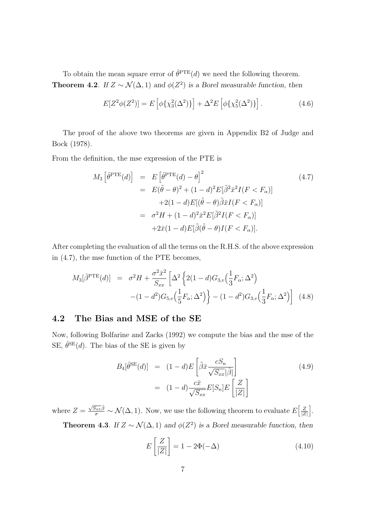To obtain the mean square error of  $\hat{\theta}^{\text{PTE}}(d)$  we need the following theorem. **Theorem 4.2**. If  $Z \sim \mathcal{N}(\Delta, 1)$  and  $\phi(Z^2)$  is a Borel measurable function, then

$$
E[Z^{2}\phi(Z^{2})] = E\left[\phi\{\chi_{3}^{2}(\Delta^{2})\}\right] + \Delta^{2}E\left[\phi\{\chi_{5}^{2}(\Delta^{2})\}\right].
$$
 (4.6)

The proof of the above two theorems are given in Appendix B2 of Judge and Bock (1978).

From the definition, the mse expression of the PTE is

$$
M_3\left[\hat{\theta}^{\text{PTE}}(d)\right] = E\left[\hat{\theta}^{\text{PTE}}(d) - \theta\right]^2
$$
\n
$$
= E(\tilde{\theta} - \theta)^2 + (1 - d)^2 E[\tilde{\beta}^2 \bar{x}^2 I(F < F_\alpha)]
$$
\n
$$
+ 2(1 - d)E[(\tilde{\theta} - \theta)\tilde{\beta}\bar{x}I(F < F_\alpha)]
$$
\n
$$
= \sigma^2 H + (1 - d)^2 \bar{x}^2 E[\tilde{\beta}^2 I(F < F_\alpha)]
$$
\n
$$
+ 2\bar{x}(1 - d)E[\tilde{\beta}(\tilde{\theta} - \theta)I(F < F_\alpha)].
$$
\n(4.7)

After completing the evaluation of all the terms on the R.H.S. of the above expression in (4.7), the mse function of the PTE becomes,

$$
M_3[\hat{\beta}^{\text{PTE}}(d)] = \sigma^2 H + \frac{\sigma^2 \bar{x}^2}{S_{xx}} \left[ \Delta^2 \left\{ 2(1-d)G_{3,v} \left( \frac{1}{3} F_{\alpha}; \Delta^2 \right) - (1-d^2)G_{5,v} \left( \frac{1}{5} F_{\alpha}; \Delta^2 \right) \right\} - (1-d^2)G_{3,v} \left( \frac{1}{3} F_{\alpha}; \Delta^2 \right) \right]
$$
(4.8)

#### 4.2 The Bias and MSE of the SE

Now, following Bolfarine and Zacks (1992) we compute the bias and the mse of the SE,  $\hat{\theta}^{\text{SE}}(d)$ . The bias of the SE is given by

$$
B_4[\hat{\theta}^{SE}(d)] = (1-d)E\left[\tilde{\beta}\bar{x}\frac{cS_n}{\sqrt{S_{xx}}|\tilde{\beta}|}\right]
$$
  
=  $(1-d)\frac{c\bar{x}}{\sqrt{S_{xx}}}E[S_n]E\left[\frac{Z}{|Z|}\right]$  (4.9)

where  $Z =$  $\frac{\sqrt{S_{xx}\beta}}{\sigma} \sim \mathcal{N}(\Delta, 1)$ . Now, we use the following theorem to evaluate E  $\lceil z \rceil$  $|Z|$ i . **Theorem 4.3**. If  $Z \sim \mathcal{N}(\Delta, 1)$  and  $\phi(Z^2)$  is a Borel measurable function, then

$$
E\left[\frac{Z}{|Z|}\right] = 1 - 2\Phi(-\Delta)
$$
\n(4.10)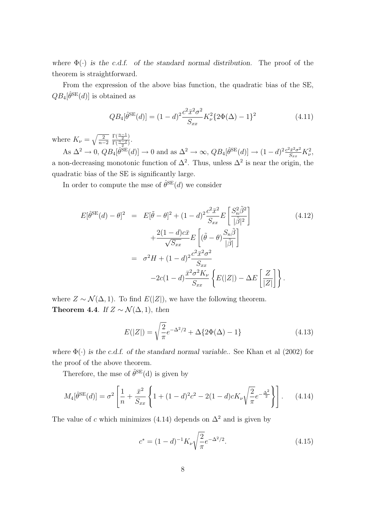where  $\Phi(\cdot)$  is the c.d.f. of the standard normal distribution. The proof of the theorem is straightforward.

From the expression of the above bias function, the quadratic bias of the SE,  $QB_4[\hat{\theta}^{SE}(d)]$  is obtained as

$$
QB_4[\hat{\theta}^{\text{SE}}(d)] = (1-d)^2 \frac{c^2 \bar{x}^2 \sigma^2}{S_{xx}} K_{\nu}^2 \{2\Phi(\Delta) - 1\}^2 \tag{4.11}
$$

where  $K_{\nu} = \sqrt{\frac{2}{n-1}}$  $n-2$  $\frac{\Gamma(\frac{n-1}{2})}{\Gamma(\frac{n-1}{2})}$  $\frac{1\left(\frac{n-2}{2}\right)}{\Gamma\left(\frac{n-2}{2}\right)}$ .

As  $\Delta^2 \to 0$ ,  $QB_4[\hat{\theta}^{SE}(d)] \to 0$  and as  $\Delta^2 \to \infty$ ,  $QB_4[\hat{\theta}^{SE}(d)] \to (1-d)^2 \frac{c^2 \bar{x}^2 \sigma^2}{S_{\infty}}$  $\frac{\partial \bar{x}^2 \sigma^2}{S_{xx}} K_{\nu}^2,$ a non-decreasing monotonic function of  $\Delta^2$ . Thus, unless  $\Delta^2$  is near the origin, the quadratic bias of the SE is significantly large.

In order to compute the mse of  $\hat{\theta}^{\text{SE}}(d)$  we consider

$$
E[\hat{\theta}^{SE}(d) - \theta]^2 = E[\tilde{\theta} - \theta]^2 + (1 - d)^2 \frac{c^2 \bar{x}^2}{S_{xx}} E\left[\frac{S_n^2 \tilde{\beta}^2}{|\tilde{\beta}|^2}\right]
$$
  
+ 
$$
\frac{2(1 - d)c\bar{x}}{\sqrt{S_{xx}}} E\left[(\tilde{\theta} - \theta)\frac{S_n \tilde{\beta}}{|\tilde{\beta}|}\right]
$$
  
= 
$$
\sigma^2 H + (1 - d)^2 \frac{c^2 \bar{x}^2 \sigma^2}{S_{xx}}
$$
  
- 
$$
2c(1 - d) \frac{\bar{x}^2 \sigma^2 K_{\nu}}{S_{xx}} \left\{E(|Z|) - \Delta E\left[\frac{Z}{|Z|}\right]\right\}.
$$
 (4.12)

where  $Z \sim \mathcal{N}(\Delta, 1)$ . To find  $E(|Z|)$ , we have the following theorem. Theorem 4.4. If  $Z \sim \mathcal{N}(\Delta, 1)$ , then

$$
E(|Z|) = \sqrt{\frac{2}{\pi}}e^{-\Delta^2/2} + \Delta\{2\Phi(\Delta) - 1\}
$$
 (4.13)

where  $\Phi(\cdot)$  is the c.d.f. of the standard normal variable.. See Khan et al (2002) for the proof of the above theorem.

Therefore, the mse of  $\hat{\theta}^{\text{SE}}(d)$  is given by

$$
M_4[\hat{\theta}^{\text{SE}}(d)] = \sigma^2 \left[ \frac{1}{n} + \frac{\bar{x}^2}{S_{xx}} \left\{ 1 + (1-d)^2 c^2 - 2(1-d)cK_\nu \sqrt{\frac{2}{\pi}} e^{-\frac{\Delta^2}{2}} \right\} \right].
$$
 (4.14)

The value of c which minimizes (4.14) depends on  $\Delta^2$  and is given by

$$
c^* = (1 - d)^{-1} K_{\nu} \sqrt{\frac{2}{\pi}} e^{-\Delta^2/2}.
$$
 (4.15)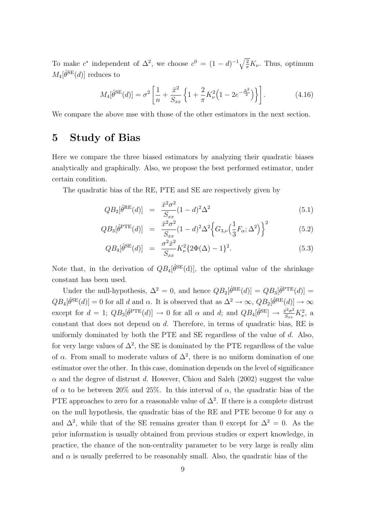To make  $c^*$  independent of  $\Delta^2$ , we choose  $c^0 = (1 - d)^{-1} \sqrt{\frac{2}{\pi}}$  $\frac{2}{\pi}K_{\nu}$ . Thus, optimum  $M_4[\hat{\theta}^{\text{SE}}(d)]$  reduces to

$$
M_4[\hat{\theta}^{\text{SE}}(d)] = \sigma^2 \left[ \frac{1}{n} + \frac{\bar{x}^2}{S_{xx}} \left\{ 1 + \frac{2}{\pi} K_\nu^2 \left( 1 - 2e^{-\frac{\Delta^2}{2}} \right) \right\} \right].
$$
 (4.16)

We compare the above mse with those of the other estimators in the next section.

## 5 Study of Bias

Here we compare the three biased estimators by analyzing their quadratic biases analytically and graphically. Also, we propose the best performed estimator, under certain condition.

The quadratic bias of the RE, PTE and SE are respectively given by

$$
QB_2[\hat{\theta}^{RE}(d)] = \frac{\bar{x}^2 \sigma^2}{S_{xx}} (1-d)^2 \Delta^2
$$
\n(5.1)

$$
QB_3[\hat{\theta}^{\text{PTE}}(d)] = \frac{\bar{x}^2 \sigma^2}{S_{xx}} (1-d)^2 \Delta^2 \Big\{ G_{3,\nu} \Big(\frac{1}{3} F_{\alpha}; \Delta^2 \Big) \Big\}^2 \tag{5.2}
$$

$$
QB_4[\hat{\theta}^{\text{SE}}(d)] = \frac{\sigma^2 \bar{x}^2}{S_{xx}} K_{\nu}^2 \{2\Phi(\Delta) - 1\}^2.
$$
 (5.3)

Note that, in the derivation of  $QB_4[\hat{\theta}^{SE}(d)]$ , the optimal value of the shrinkage constant has been used.

Under the null-hypothesis,  $\Delta^2 = 0$ , and hence  $QB_2[\hat{\theta}^{RE}(d)] = QB_3[\hat{\theta}^{PTE}(d)] =$  $QB_4[\hat{\theta}^{SE}(d)] = 0$  for all d and  $\alpha$ . It is observed that as  $\Delta^2 \to \infty$ ,  $QB_2[\hat{\theta}^{RE}(d)] \to \infty$ except for  $d = 1$ ;  $QB_3[\hat{\theta}^{\text{PTE}}(d)] \rightarrow 0$  for all  $\alpha$  and  $d$ ; and  $QB_4[\hat{\theta}^{\text{SE}}] \rightarrow \frac{\bar{x}^2 \sigma^2}{S_{\text{max}}}$  $\frac{\bar{v}^2 \sigma^2}{S_{xx}} K_{\nu}^2$ , a constant that does not depend on d. Therefore, in terms of quadratic bias, RE is uniformly dominated by both the PTE and SE regardless of the value of  $d$ . Also, for very large values of  $\Delta^2$ , the SE is dominated by the PTE regardless of the value of  $\alpha$ . From small to moderate values of  $\Delta^2$ , there is no uniform domination of one estimator over the other. In this case, domination depends on the level of significance  $\alpha$  and the degree of distrust d. However, Chiou and Saleh (2002) suggest the value of  $\alpha$  to be between 20% and 25%. In this interval of  $\alpha$ , the quadratic bias of the PTE approaches to zero for a reasonable value of  $\Delta^2$ . If there is a complete distrust on the null hypothesis, the quadratic bias of the RE and PTE become 0 for any  $\alpha$ and  $\Delta^2$ , while that of the SE remains greater than 0 except for  $\Delta^2 = 0$ . As the prior information is usually obtained from previous studies or expert knowledge, in practice, the chance of the non-centrality parameter to be very large is really slim and  $\alpha$  is usually preferred to be reasonably small. Also, the quadratic bias of the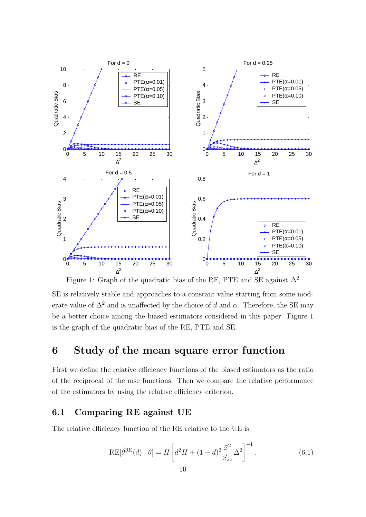

Figure 1: Graph of the quadratic bias of the RE, PTE and SE against  $\Delta^2$ 

SE is relatively stable and approaches to a constant value starting from some moderate value of  $\Delta^2$  and is unaffected by the choice of d and  $\alpha$ . Therefore, the SE may be a better choice among the biased estimators considered in this paper. Figure 1 is the graph of the quadratic bias of the RE, PTE and SE.

# 6 Study of the mean square error function

First we define the relative efficiency functions of the biased estimators as the ratio of the reciprocal of the mse functions. Then we compare the relative performance of the estimators by using the relative efficiency criterion.

#### 6.1 Comparing RE against UE

The relative efficiency function of the RE relative to the UE is

$$
RE[\hat{\theta}^{RE}(d) : \tilde{\theta}] = H\left[d^2H + (1-d)^2 \frac{\bar{x}^2}{S_{xx}} \Delta^2\right]^{-1}.
$$
 (6.1)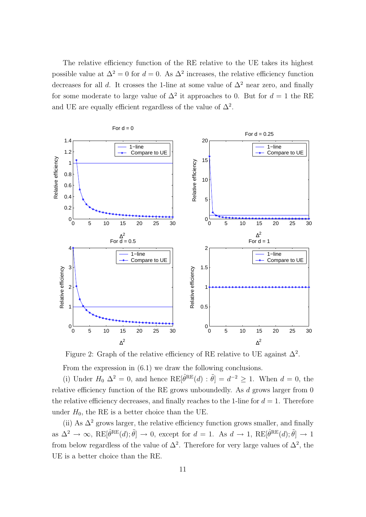The relative efficiency function of the RE relative to the UE takes its highest possible value at  $\Delta^2 = 0$  for  $d = 0$ . As  $\Delta^2$  increases, the relative efficiency function decreases for all d. It crosses the 1-line at some value of  $\Delta^2$  near zero, and finally for some moderate to large value of  $\Delta^2$  it approaches to 0. But for  $d=1$  the RE and UE are equally efficient regardless of the value of  $\Delta^2$ .



Figure 2: Graph of the relative efficiency of RE relative to UE against  $\Delta^2$ .

From the expression in (6.1) we draw the following conclusions.

(i) Under  $H_0 \Delta^2 = 0$ , and hence  $RE[\hat{\theta}^{RE}(d) : \tilde{\theta}] = d^{-2} \ge 1$ . When  $d = 0$ , the relative efficiency function of the RE grows unboundedly. As  $d$  grows larger from  $0$ the relative efficiency decreases, and finally reaches to the 1-line for  $d = 1$ . Therefore under  $H_0$ , the RE is a better choice than the UE.

(ii) As  $\Delta^2$  grows larger, the relative efficiency function grows smaller, and finally as  $\Delta^2 \to \infty$ ,  $RE[\hat{\theta}^{RE}(d); \tilde{\theta}] \to 0$ , except for  $d = 1$ . As  $d \to 1$ ,  $RE[\hat{\theta}^{RE}(d); \tilde{\theta}] \to 1$ from below regardless of the value of  $\Delta^2$ . Therefore for very large values of  $\Delta^2$ , the UE is a better choice than the RE.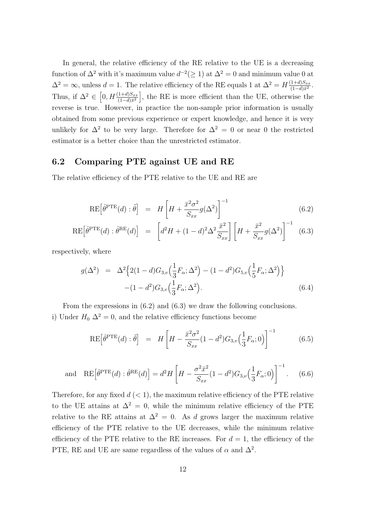In general, the relative efficiency of the RE relative to the UE is a decreasing function of  $\Delta^2$  with it's maximum value  $d^{-2}(\geq 1)$  at  $\Delta^2 = 0$  and minimum value 0 at  $\Delta^2 = \infty$ , unless  $d = 1$ . The relative efficiency of the RE equals 1 at  $\Delta^2 = H \frac{(1+d)S_{xx}}{(1-d)\bar{x}^2}$  $\mathbf{A} = 1$ . The relative efficiency of the RE equals 1 at  $\Delta^2 = H \frac{(1+d)S_{xx}}{(1-d)\bar{x}^2}$ . Thus, if  $\Delta^2 \in \left[0, H \frac{(1+d)S_{xx}}{(1-d)\bar{x}^2}\right]$ , the RE is more efficient than the UE, otherwise the reverse is true. However, in practice the non-sample prior information is usually obtained from some previous experience or expert knowledge, and hence it is very unlikely for  $\Delta^2$  to be very large. Therefore for  $\Delta^2 = 0$  or near 0 the restricted estimator is a better choice than the unrestricted estimator.

#### 6.2 Comparing PTE against UE and RE

The relative efficiency of the PTE relative to the UE and RE are

$$
RE\left[\hat{\theta}^{PTE}(d):\tilde{\theta}\right] = H\left[H + \frac{\bar{x}^2 \sigma^2}{S_{xx}} g(\Delta^2)\right]^{-1}
$$
\n(6.2)

$$
\text{RE}\left[\hat{\theta}^{\text{PTE}}(d):\hat{\theta}^{\text{RE}}(d)\right] = \left[d^2H + (1-d)^2\Delta^2 \frac{\bar{x}^2}{S_{xx}}\right] \left[H + \frac{\bar{x}^2}{S_{xx}}g(\Delta^2)\right]^{-1} \tag{6.3}
$$

respectively, where

$$
g(\Delta^2) = \Delta^2 \Big\{ 2(1-d)G_{3,v} \Big( \frac{1}{3} F_{\alpha}; \Delta^2 \Big) - (1-d^2)G_{5,v} \Big( \frac{1}{5} F_{\alpha}; \Delta^2 \Big) \Big\} - (1-d^2)G_{3,v} \Big( \frac{1}{3} F_{\alpha}; \Delta^2 \Big). \tag{6.4}
$$

From the expressions in (6.2) and (6.3) we draw the following conclusions. i) Under  $H_0 \Delta^2 = 0$ , and the relative efficiency functions become

$$
\text{RE}\left[\hat{\theta}^{\text{PTE}}(d):\tilde{\theta}\right] = H\left[H - \frac{\bar{x}^2 \sigma^2}{S_{xx}}(1 - d^2)G_{3,v}\left(\frac{1}{3}F_{\alpha};0\right)\right]^{-1} \tag{6.5}
$$

and 
$$
RE\left[\hat{\theta}^{PTE}(d) : \hat{\theta}^{RE}(d)\right] = d^2 H \left[H - \frac{\sigma^2 \bar{x}^2}{S_{xx}}(1 - d^2)G_{3,\nu}\left(\frac{1}{3}F_{\alpha};0\right)\right]^{-1}.
$$
 (6.6)

Therefore, for any fixed  $d \leq 1$ , the maximum relative efficiency of the PTE relative to the UE attains at  $\Delta^2 = 0$ , while the minimum relative efficiency of the PTE relative to the RE attains at  $\Delta^2 = 0$ . As d grows larger the maximum relative efficiency of the PTE relative to the UE decreases, while the minimum relative efficiency of the PTE relative to the RE increases. For  $d = 1$ , the efficiency of the PTE, RE and UE are same regardless of the values of  $\alpha$  and  $\Delta^2$ .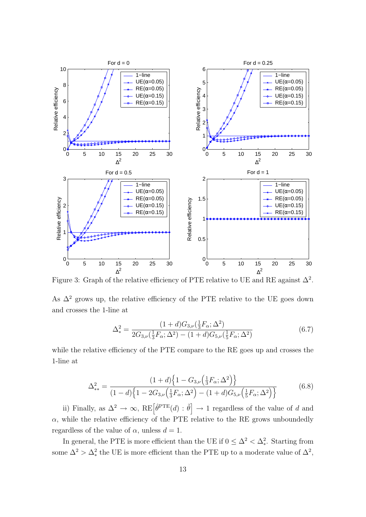

Figure 3: Graph of the relative efficiency of PTE relative to UE and RE against  $\Delta^2$ .

As  $\Delta^2$  grows up, the relative efficiency of the PTE relative to the UE goes down and crosses the 1-line at

$$
\Delta_{*}^{2} = \frac{(1+d)G_{3,\nu}(\frac{1}{3}F_{\alpha};\Delta^{2})}{2G_{3,\nu}(\frac{1}{3}F_{\alpha};\Delta^{2}) - (1+d)G_{5,\nu}(\frac{1}{5}F_{\alpha};\Delta^{2})}
$$
(6.7)

while the relative efficiency of the PTE compare to the RE goes up and crosses the 1-line at

$$
\Delta_{**}^2 = \frac{(1+d)\left\{1 - G_{3,\nu}\left(\frac{1}{3}F_{\alpha};\Delta^2\right)\right\}}{(1-d)\left\{1 - 2G_{3,\nu}\left(\frac{1}{3}F_{\alpha};\Delta^2\right) - (1+d)G_{5,\nu}\left(\frac{1}{5}F_{\alpha};\Delta^2\right)\right\}}
$$
(6.8)

ii) Finally, as  $\Delta^2 \to \infty$ , RE $\left[\hat{\theta}^{\text{PTE}}(d) : \tilde{\theta}\right]$  $\rightarrow$  1 regardless of the value of d and  $\alpha$ , while the relative efficiency of the PTE relative to the RE grows unboundedly regardless of the value of  $\alpha$ , unless  $d = 1$ .

In general, the PTE is more efficient than the UE if  $0 \leq \Delta^2 < \Delta_*^2$ . Starting from some  $\Delta^2 > \Delta_*^2$  the UE is more efficient than the PTE up to a moderate value of  $\Delta^2$ ,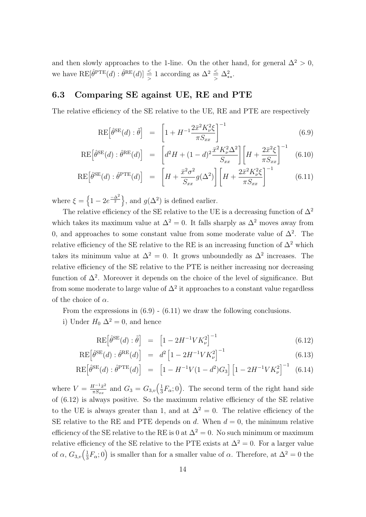and then slowly approaches to the 1-line. On the other hand, for general  $\Delta^2 > 0$ , we have  $RE[\hat{\theta}^{PTE}(d) : \hat{\theta}^{RE}(d)] \leq 1$  according as  $\Delta^2 \leq \Delta^2_{**}$ .

#### 6.3 Comparing SE against UE, RE and PTE

The relative efficiency of the SE relative to the UE, RE and PTE are respectively

$$
RE\left[\hat{\theta}^{SE}(d):\tilde{\theta}\right] = \left[1 + H^{-1}\frac{2\bar{x}^2 K_{\nu}^2 \xi}{\pi S_{xx}}\right]^{-1} \tag{6.9}
$$

$$
\text{RE}\left[\hat{\theta}^{\text{SE}}(d) : \hat{\theta}^{\text{RE}}(d)\right] = \left[d^2 H + (1-d)^2 \frac{\bar{x}^2 K_{\nu}^2 \Delta^2}{S_{xx}}\right] \left[H + \frac{2\bar{x}^2 \xi}{\pi S_{xx}}\right]^{-1} \tag{6.10}
$$

$$
\text{RE}\left[\hat{\theta}^{\text{SE}}(d):\hat{\theta}^{\text{PTE}}(d)\right] = \left[H + \frac{\bar{x}^2 \sigma^2}{S_{xx}} g(\Delta^2)\right] \left[H + \frac{2\bar{x}^2 K_{\nu}^2 \xi}{\pi S_{xx}}\right]^{-1} \tag{6.11}
$$

where  $\xi =$ n  $1 - 2e^{\frac{-\Delta^2}{2}}$ o , and  $g(\Delta^2)$  is defined earlier.

The relative efficiency of the SE relative to the UE is a decreasing function of  $\Delta^2$ which takes its maximum value at  $\Delta^2 = 0$ . It falls sharply as  $\Delta^2$  moves away from 0, and approaches to some constant value from some moderate value of  $\Delta^2$ . The relative efficiency of the SE relative to the RE is an increasing function of  $\Delta^2$  which takes its minimum value at  $\Delta^2 = 0$ . It grows unboundedly as  $\Delta^2$  increases. The relative efficiency of the SE relative to the PTE is neither increasing nor decreasing function of  $\Delta^2$ . Moreover it depends on the choice of the level of significance. But from some moderate to large value of  $\Delta^2$  it approaches to a constant value regardless of the choice of  $\alpha$ .

From the expressions in  $(6.9)$  -  $(6.11)$  we draw the following conclusions.

i) Under  $H_0 \Delta^2 = 0$ , and hence

$$
RE\left[\hat{\theta}^{SE}(d):\tilde{\theta}\right] = \left[1 - 2H^{-1}VK_{\nu}^{2}\right]^{-1} \tag{6.12}
$$

$$
RE\left[\hat{\theta}^{SE}(d) : \hat{\theta}^{RE}(d)\right] = d^2 \left[1 - 2H^{-1}VK_{\nu}^2\right]^{-1} \tag{6.13}
$$

$$
RE\left[\hat{\theta}^{SE}(d) : \hat{\theta}^{PTE}(d)\right] = \left[1 - H^{-1}V(1 - d^2)G_3\right] \left[1 - 2H^{-1}VK_{\nu}^2\right]^{-1} \tag{6.14}
$$

where  $V = \frac{H^{-1}\bar{x}^2}{\pi S}$  $\frac{H^{-1}\bar{x}^2}{\pi S_{xx}}$  and  $G_3 = G_{3,v}(\frac{1}{3})$  $(\frac{1}{3}F_{\alpha};0)$ . The second term of the right hand side of (6.12) is always positive. So the maximum relative efficiency of the SE relative to the UE is always greater than 1, and at  $\Delta^2 = 0$ . The relative efficiency of the SE relative to the RE and PTE depends on  $d$ . When  $d = 0$ , the minimum relative efficiency of the SE relative to the RE is 0 at  $\Delta^2 = 0$ . No such minimum or maximum relative efficiency of the SE relative to the PTE exists at  $\Delta^2 = 0$ . For a larger value of  $\alpha$ ,  $G_{3,v}(\frac{1}{3})$  $\frac{1}{3}F_{\alpha}$ ; 0) is smaller than for a smaller value of  $\alpha$ . Therefore, at  $\Delta^2 = 0$  the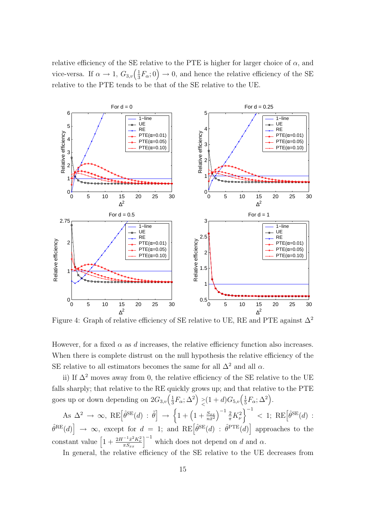relative efficiency of the SE relative to the PTE is higher for larger choice of  $\alpha$ , and vice-versa. If  $\alpha \to 1$ ,  $G_{3,v}(\frac{1}{3})$  $\frac{1}{3}F_{\alpha}$ ; 0)  $\rightarrow$  0, and hence the relative efficiency of the SE relative to the PTE tends to be that of the SE relative to the UE.



Figure 4: Graph of relative efficiency of SE relative to UE, RE and PTE against  $\Delta^2$ 

However, for a fixed  $\alpha$  as d increases, the relative efficiency function also increases. When there is complete distrust on the null hypothesis the relative efficiency of the SE relative to all estimators becomes the same for all  $\Delta^2$  and all  $\alpha$ .

ii) If  $\Delta^2$  moves away from 0, the relative efficiency of the SE relative to the UE falls sharply; that relative to the RE quickly grows up; and that relative to the PTE goes up or down depending on  $2G_{3,v}(\frac{1}{3})$  $\frac{1}{3}F_\alpha;\Delta^2\Big)\begin{array}{c}>\\[-10pt]\hbox{${\scriptstyle\diagup$}\end{array}$  $\genfrac{}{}{0pt}{}{>}{<} (1+d)G_{5,v}(\frac{1}{5})$  $\frac{1}{5}F_{\alpha};\Delta^2$ .

As  $\Delta^2 \rightarrow \infty$ , RE $\left[\hat{\theta}^{\text{SE}}(d) : \tilde{\theta}\right]$  $\rightarrow$  $\left\{1+\left(1+\frac{S_{xx}}{n\bar{x}^2}\right)\right\}$  $\int^{-1} \frac{2}{\pi} K_{\nu}^2$  $\Big \}^{-1} \, < \, 1; \, \, \mathrm{RE} \big[ \hat{\theta}^{\mathrm{SE}}(d) \, : \,$  $\hat{\theta}^{\text{RE}}(d)$   $\rightarrow \infty$ , except for  $d = 1$ ; and  $\text{RE}[\hat{\theta}^{\text{SE}}(d) : \hat{\theta}^{\text{PTE}}(d)]$  approaches to the  $\begin{bmatrix} 1 & 1 & 1 \\ 1 & 1 & 1 \\ 1 & 1 & 1 \end{bmatrix} \begin{bmatrix} 1 & 1 & 1 \\ 1 & 1 & 1 \\ 1 & 1 & 1 \end{bmatrix} \begin{bmatrix} 1 & 1 & 1 \\ 1 & 1 & 1 \\ 1 & 1 & 1 \end{bmatrix}$ constant value  $\left[1 + \frac{2H^{-1}\bar{x}^2K_{\nu}^2}{\pi S}\right]$  $\left[\frac{-1_{\bar{x}^2 K_\nu^2}}{\pi S_{xx}}\right]^{-1}$  which does not depend on d and  $\alpha$ .

In general, the relative efficiency of the SE relative to the UE decreases from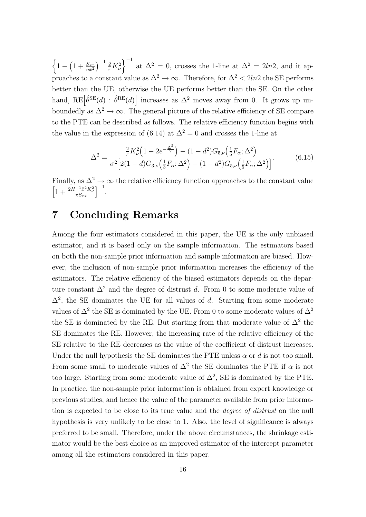½ 1 −  $\overline{a}$  $1+\frac{S_{xx}}{n\bar{x}^2}$  $\int^{-1} \frac{2}{\pi} K_{\nu}^2$  $\sqrt{-1}$ at  $\Delta^2 = 0$ , crosses the 1-line at  $\Delta^2 = 2ln2$ , and it approaches to a constant value as  $\Delta^2 \to \infty$ . Therefore, for  $\Delta^2 < 2ln2$  the SE performs better than the UE, otherwise the UE performs better than the SE. On the other hand,  $RE[\hat{\theta}^{SE}(d) : \hat{\theta}^{RE}(d)]$ '<br> increases as  $\Delta^2$  moves away from 0. It grows up unboundedly as  $\Delta^2 \to \infty$ . The general picture of the relative efficiency of SE compare to the PTE can be described as follows. The relative efficiency function begins with the value in the expression of (6.14) at  $\Delta^2 = 0$  and crosses the 1-line at

$$
\Delta^{2} = \frac{\frac{2}{\pi}K_{\nu}^{2}\left(1 - 2e^{-\frac{\Delta^{2}}{2}}\right) - (1 - d^{2})G_{5,\nu}\left(\frac{1}{5}F_{\alpha};\Delta^{2}\right)}{\sigma^{2}\left[2(1 - d)G_{3,\nu}\left(\frac{1}{3}F_{\alpha};\Delta^{2}\right) - (1 - d^{2})G_{5,\nu}\left(\frac{1}{5}F_{\alpha};\Delta^{2}\right)\right]}.
$$
(6.15)

Finally, as  $\Delta^2 \to \infty$  the relative efficiency function approaches to the constant value  $\left[1 + \frac{2H^{-1}\bar{x}^2 K_\nu^2}{\pi S}\right]^{-1}$ .  $\left[\frac{-1_{\bar{x}^2 K_\nu^2}}{\pi S_{xx}}\right]^{-1}.$ 

# 7 Concluding Remarks

Among the four estimators considered in this paper, the UE is the only unbiased estimator, and it is based only on the sample information. The estimators based on both the non-sample prior information and sample information are biased. However, the inclusion of non-sample prior information increases the efficiency of the estimators. The relative efficiency of the biased estimators depends on the departure constant  $\Delta^2$  and the degree of distrust d. From 0 to some moderate value of  $\Delta^2$ , the SE dominates the UE for all values of d. Starting from some moderate values of  $\Delta^2$  the SE is dominated by the UE. From 0 to some moderate values of  $\Delta^2$ the SE is dominated by the RE. But starting from that moderate value of  $\Delta^2$  the SE dominates the RE. However, the increasing rate of the relative efficiency of the SE relative to the RE decreases as the value of the coefficient of distrust increases. Under the null hypothesis the SE dominates the PTE unless  $\alpha$  or d is not too small. From some small to moderate values of  $\Delta^2$  the SE dominates the PTE if  $\alpha$  is not too large. Starting from some moderate value of  $\Delta^2$ , SE is dominated by the PTE. In practice, the non-sample prior information is obtained from expert knowledge or previous studies, and hence the value of the parameter available from prior information is expected to be close to its true value and the degree of distrust on the null hypothesis is very unlikely to be close to 1. Also, the level of significance is always preferred to be small. Therefore, under the above circumstances, the shrinkage estimator would be the best choice as an improved estimator of the intercept parameter among all the estimators considered in this paper.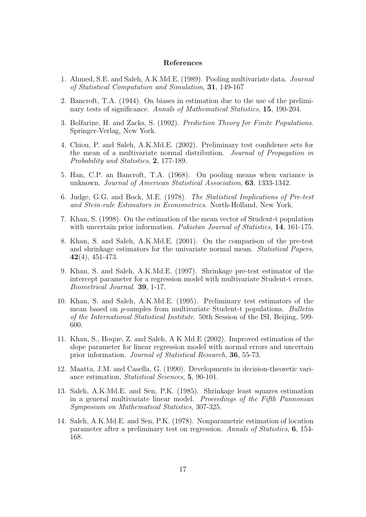#### References

- 1. Ahmed, S.E. and Saleh, A.K.Md.E. (1989). Pooling multivariate data. Journal of Statistical Computation and Simulation, 31, 149-167
- 2. Bancroft, T.A. (1944). On biases in estimation due to the use of the preliminary tests of significance. Annals of Mathematical Statistics, 15, 190-204.
- 3. Bolfarine, H. and Zacks, S. (1992). Prediction Theory for Finite Populations. Springer-Verlag, New York.
- 4. Chiou, P. and Saleh, A.K.Md.E. (2002). Preliminary test confidence sets for the mean of a multivariate normal distribution. Journal of Propagation in Probability and Statistics, 2, 177-189.
- 5. Han, C.P. an Bancroft, T.A. (1968). On pooling means when variance is unknown. Journal of American Statistical Association, 63, 1333-1342.
- 6. Judge, G.G. and Bock, M.E. (1978). The Statistical Implications of Pre-test and Stein-rule Estimators in Econometrics. North-Holland, New York.
- 7. Khan, S. (1998). On the estimation of the mean vector of Student-t population with uncertain prior information. Pakistan Journal of Statistics, 14, 161-175.
- 8. Khan, S. and Saleh, A.K.Md.E. (2001). On the comparison of the pre-test and shrinkage estimators for the univariate normal mean. Statistical Papers, 42(4), 451-473.
- 9. Khan, S. and Saleh, A.K.Md.E. (1997). Shrinkage pre-test estimator of the intercept parameter for a regression model with multivariate Student-t errors. Biometrical Journal. 39, 1-17.
- 10. Khan, S. and Saleh, A.K.Md.E. (1995). Preliminary test estimators of the mean based on p-samples from multivariate Student-t populations. Bulletin of the International Statistical Institute. 50th Session of the ISI, Beijing, 599- 600.
- 11. Khan, S., Hoque, Z. and Saleh, A K Md E (2002). Improved estimation of the slope parameter for linear regression model with normal errors and uncertain prior information. Journal of Statistical Research, 36, 55-73.
- 12. Maatta, J.M. and Casella, G. (1990). Developments in decision-theoretic variance estimation, Statistical Sciences, 5, 90-101.
- 13. Saleh, A.K.Md.E. and Sen, P.K. (1985). Shrinkage least squares estimation in a general multivariate linear model. Proceedings of the Fifth Pannonian Symposium on Mathematical Statistics, 307-325.
- 14. Saleh, A.K.Md.E. and Sen, P.K. (1978). Nonparametric estimation of location parameter after a preliminary test on regression. Annals of Statistics, 6, 154- 168.